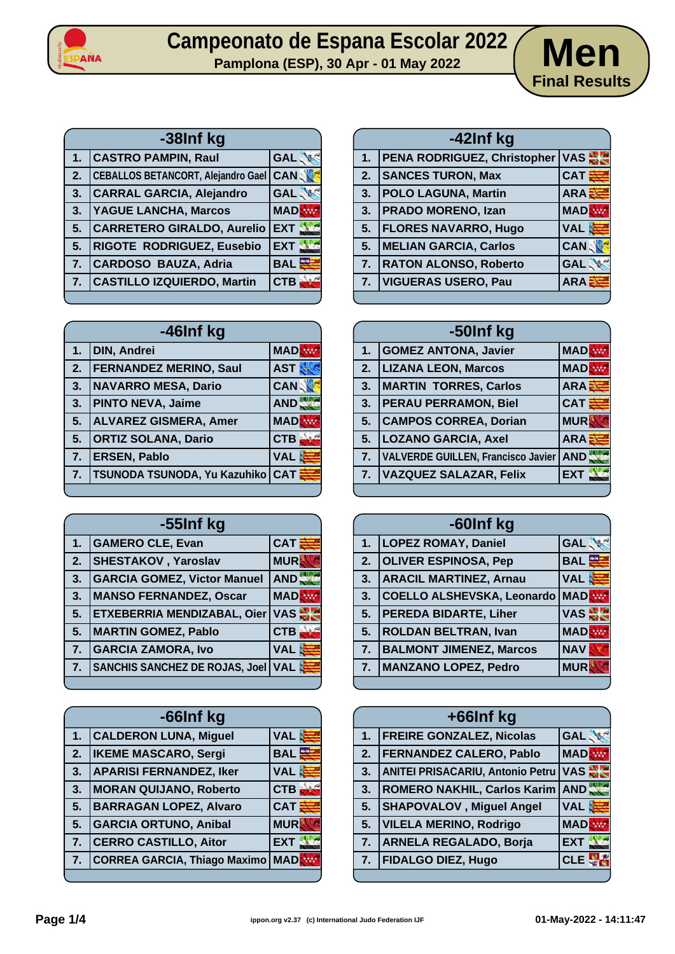

## Campeonato de Espana Escolar 2022 **Men**<br>Pamplona (ESP), 30 Apr - 01 May 2022



| -38Inf kg |                                           |               |
|-----------|-------------------------------------------|---------------|
| 1.        | <b>CASTRO PAMPIN, Raul</b>                | <b>GAL</b>    |
| 2.        | <b>CEBALLOS BETANCORT, Alejandro Gael</b> | <b>CANSON</b> |
| 3.        | <b>CARRAL GARCIA, Alejandro</b>           | <b>GAL</b>    |
| 3.        | <b>YAGUE LANCHA, Marcos</b>               | <b>MAD</b>    |
| 5.        | <b>CARRETERO GIRALDO, Aurelio</b>         | <b>EXT</b>    |
| 5.        | <b>RIGOTE RODRIGUEZ, Eusebio</b>          | <b>EXT</b>    |
| 7.        | CARDOSO BAUZA, Adria                      | <b>BAL</b>    |
| 7.        | <b>CASTILLO IZQUIERDO, Martin</b>         | <b>CTB</b>    |
|           |                                           |               |

| -46Inf kg |                               |            |
|-----------|-------------------------------|------------|
| 1.        | <b>DIN, Andrei</b>            | <b>MAD</b> |
| 2.        | <b>FERNANDEZ MERINO, Saul</b> | <b>AST</b> |
| 3.        | <b>NAVARRO MESA, Dario</b>    | <b>CAN</b> |
| 3.        | <b>PINTO NEVA, Jaime</b>      | AND.       |
| 5.        | <b>ALVAREZ GISMERA, Amer</b>  | <b>MAD</b> |
| 5.        | <b>ORTIZ SOLANA, Dario</b>    | <b>CTB</b> |
| 7.        | <b>ERSEN, Pablo</b>           | <b>VAL</b> |
| 7.        | TSUNODA TSUNODA, Yu Kazuhiko  | <b>CAT</b> |
|           |                               |            |

| -55Inf kg |                                       |            |
|-----------|---------------------------------------|------------|
| 1.        | <b>GAMERO CLE, Evan</b>               | <b>CAT</b> |
| 2.        | <b>SHESTAKOV</b> , Yaroslav           | <b>MUR</b> |
| 3.        | <b>GARCIA GOMEZ, Victor Manuel</b>    | <b>AND</b> |
| 3.        | <b>MANSO FERNANDEZ, Oscar</b>         | <b>MAD</b> |
| 5.        | ETXEBERRIA MENDIZABAL, Oier           | <b>VAS</b> |
| 5.        | <b>MARTIN GOMEZ, Pablo</b>            | <b>CTB</b> |
| 7.        | <b>GARCIA ZAMORA, Ivo</b>             | <b>VAL</b> |
| 7.        | <b>SANCHIS SANCHEZ DE ROJAS, Joel</b> | <b>VAL</b> |
|           |                                       |            |

| -66Inf kg        |                                |            |
|------------------|--------------------------------|------------|
| 1.               | <b>CALDERON LUNA, Miguel</b>   | <b>VAL</b> |
| 2.               | <b>IKEME MASCARO, Sergi</b>    | <b>BAL</b> |
| 3.               | <b>APARISI FERNANDEZ, Iker</b> | <b>VAL</b> |
| 3.               | <b>MORAN QUIJANO, Roberto</b>  | <b>CTB</b> |
| 5.               | <b>BARRAGAN LOPEZ, Alvaro</b>  | <b>CAT</b> |
| $\overline{5}$ . | <b>GARCIA ORTUNO, Anibal</b>   | <b>MUR</b> |
| 7.               | <b>CERRO CASTILLO, Aitor</b>   | <b>EXT</b> |
| 7.               | CORREA GARCIA, Thiago Maximo   | <b>MAD</b> |
|                  |                                |            |

| -42Inf kg |                                 |              |
|-----------|---------------------------------|--------------|
| 1.        | PENA RODRIGUEZ, Christopher VAS |              |
| 2.        | <b>SANCES TURON, Max</b>        | $CAT\equiv$  |
| 3.        | <b>POLO LAGUNA, Martin</b>      | <b>ARA클</b>  |
| 3.        | <b>PRADO MORENO, Izan</b>       | <b>MAD</b>   |
| 5.        | <b>FLORES NAVARRO, Hugo</b>     | VAL <b>建</b> |
| 5.        | <b>MELIAN GARCIA, Carlos</b>    | <b>CANS</b>  |
| 7.        | <b>RATON ALONSO, Roberto</b>    | <b>GAL</b>   |
| 7.        | <b>VIGUERAS USERO, Pau</b>      | <b>ARAE</b>  |
|           |                                 |              |

| -50Inf kg |                                    |              |
|-----------|------------------------------------|--------------|
| 1.        | <b>GOMEZ ANTONA, Javier</b>        | <b>MAD</b>   |
| 2.        | <b>LIZANA LEON, Marcos</b>         | <b>MADR</b>  |
| 3.        | <b>MARTIN TORRES, Carlos</b>       | <b>ARAE</b>  |
| 3.        | <b>PERAU PERRAMON, Biel</b>        | $CAT$ $\geq$ |
| 5.        | <b>CAMPOS CORREA, Dorian</b>       | <b>MUR</b>   |
| 5.        | <b>LOZANO GARCIA, Axel</b>         | ARA          |
| 7.        | VALVERDE GUILLEN, Francisco Javier | AND.         |
| 7.        | <b>VAZQUEZ SALAZAR, Felix</b>      | <b>EXT</b>   |
|           |                                    |              |

| -60Inf kg |                                |            |
|-----------|--------------------------------|------------|
| 1.        | <b>LOPEZ ROMAY, Daniel</b>     | <b>GAL</b> |
| 2.        | <b>OLIVER ESPINOSA, Pep</b>    | <b>BAL</b> |
| 3.        | <b>ARACIL MARTINEZ, Arnau</b>  | VAL き      |
| 3.        | COELLO ALSHEVSKA, Leonardo     | <b>MAD</b> |
| 5.        | <b>PEREDA BIDARTE, Liher</b>   | <b>VAS</b> |
| 5.        | <b>ROLDAN BELTRAN, Ivan</b>    | <b>MAD</b> |
| 7.        | <b>BALMONT JIMENEZ, Marcos</b> | <b>NAV</b> |
| 7.        | <b>MANZANO LOPEZ, Pedro</b>    | <b>MUR</b> |
|           |                                |            |

|    | +66Inf kg                               |            |
|----|-----------------------------------------|------------|
| 1. | <b>FREIRE GONZALEZ, Nicolas</b>         | <b>GAL</b> |
| 2. | <b>FERNANDEZ CALERO, Pablo</b>          | <b>MAD</b> |
| 3. | <b>ANITEI PRISACARIU, Antonio Petru</b> | <b>VAS</b> |
| 3. | ROMERO NAKHIL, Carlos Karim AND         |            |
| 5. | <b>SHAPOVALOV</b> , Miguel Angel        | <b>VAL</b> |
| 5. | <b>VILELA MERINO, Rodrigo</b>           | <b>MAD</b> |
| 7. | <b>ARNELA REGALADO, Borja</b>           | <b>EXT</b> |
| 7. | <b>FIDALGO DIEZ, Hugo</b>               | <b>CLI</b> |
|    |                                         |            |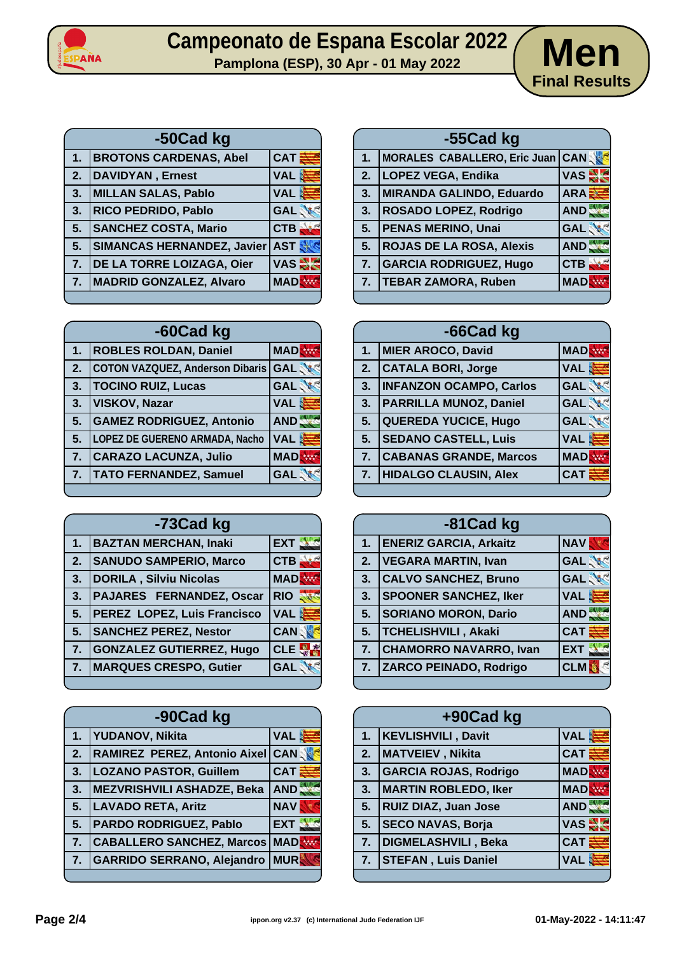

## Campeonato de Espana Escolar 2022 **Men**<br>Pamplona (ESP), 30 Apr - 01 May 2022



| -50Cad kg |                                   |                              |
|-----------|-----------------------------------|------------------------------|
| 1.        | <b>BROTONS CARDENAS, Abel</b>     | $ $ CAT $\bar{\bar{\bm{s}}}$ |
| 2.        | <b>DAVIDYAN</b> , Ernest          | <b>VAL</b>                   |
| 3.        | <b>MILLAN SALAS, Pablo</b>        | <b>VAL</b>                   |
| 3.        | RICO PEDRIDO, Pablo               | <b>GAL</b>                   |
| 5.        | <b>SANCHEZ COSTA, Mario</b>       | <b>CTB</b>                   |
| 5.        | <b>SIMANCAS HERNANDEZ, Javier</b> | AST                          |
| 7.        | DE LA TORRE LOIZAGA, Oier         | <b>VAS AR</b>                |
| 7.        | MADRID GONZALEZ, Alvaro           | <b>MAD</b>                   |
|           |                                   |                              |

| -60Cad kg |                                        |            |
|-----------|----------------------------------------|------------|
| 1.        | <b>ROBLES ROLDAN, Daniel</b>           | <b>MAD</b> |
| 2.        | <b>COTON VAZQUEZ, Anderson Dibaris</b> | <b>GAL</b> |
| 3.        | <b>TOCINO RUIZ, Lucas</b>              | <b>GAL</b> |
| 3.        | <b>VISKOV, Nazar</b>                   | <b>VAL</b> |
| 5.        | <b>GAMEZ RODRIGUEZ, Antonio</b>        | <b>AND</b> |
| 5.        | <b>LOPEZ DE GUERENO ARMADA, Nacho</b>  | <b>VAL</b> |
| 7.        | <b>CARAZO LACUNZA, Julio</b>           | <b>MAD</b> |
| 7.        | <b>TATO FERNANDEZ, Samuel</b>          | <b>GAL</b> |
|           |                                        |            |

| -73Cad kg |                                 |                    |
|-----------|---------------------------------|--------------------|
| 1.        | <b>BAZTAN MERCHAN, Inaki</b>    | <b>EXT</b>         |
| 2.        | <b>SANUDO SAMPERIO, Marco</b>   | <b>CTB</b>         |
| 3.        | <b>DORILA, Silviu Nicolas</b>   | <b>MAD</b>         |
| 3.        | <b>PAJARES FERNANDEZ, Oscar</b> | <b>RIO</b>         |
| 5.        | PEREZ LOPEZ, Luis Francisco     | VAL <mark>建</mark> |
| 5.        | <b>SANCHEZ PEREZ, Nestor</b>    | <b>CAN</b>         |
| 7.        | <b>GONZALEZ GUTIERREZ, Hugo</b> | <b>CLE</b>         |
| 7.        | <b>MARQUES CRESPO, Gutier</b>   | <b>GAL</b>         |
|           |                                 |                    |

| -90Cad kg        |                                     |            |
|------------------|-------------------------------------|------------|
| 1 <sub>1</sub>   | YUDANOV, Nikita                     | <b>VAL</b> |
| $\overline{2}$ . | <b>RAMIREZ PEREZ, Antonio Aixel</b> | <b>CAN</b> |
| 3.               | <b>LOZANO PASTOR, Guillem</b>       | <b>CAT</b> |
| 3.               | <b>MEZVRISHVILI ASHADZE, Beka</b>   | AND.       |
| $\overline{5}$ . | LAVADO RETA, Aritz                  | <b>NAV</b> |
| 5.               | PARDO RODRIGUEZ, Pablo              | <b>EXT</b> |
| 7.               | <b>CABALLERO SANCHEZ, Marcos</b>    | <b>MAD</b> |
| 7.               | <b>GARRIDO SERRANO, Alejandro</b>   | <b>MUR</b> |
|                  |                                     |            |

| -55Cad kg |                                  |               |
|-----------|----------------------------------|---------------|
| 1.        | MORALES CABALLERO, Eric Juan CAN |               |
| 2.        | <b>LOPEZ VEGA, Endika</b>        | <b>VAS AR</b> |
| 3.        | MIRANDA GALINDO, Eduardo         | ARA E         |
| 3.        | ROSADO LOPEZ, Rodrigo            | AND.          |
| 5.        | <b>PENAS MERINO, Unai</b>        | <b>GAL</b>    |
| 5.        | <b>ROJAS DE LA ROSA, Alexis</b>  | <b>AND</b>    |
| 7.        | <b>GARCIA RODRIGUEZ, Hugo</b>    | <b>CTB</b>    |
| 7.        | <b>TEBAR ZAMORA, Ruben</b>       | <b>MAD</b>    |
|           |                                  |               |

| -66Cad kg |                                |            |
|-----------|--------------------------------|------------|
| 1.        | MIER AROCO, David              | <b>MAD</b> |
| 2.        | <b>CATALA BORI, Jorge</b>      | <b>VAL</b> |
| 3.        | <b>INFANZON OCAMPO, Carlos</b> | <b>GAL</b> |
| 3.        | <b>PARRILLA MUNOZ, Daniel</b>  | <b>GAL</b> |
| 5.        | <b>QUEREDA YUCICE, Hugo</b>    | <b>GAL</b> |
| 5.        | <b>SEDANO CASTELL, Luis</b>    | <b>VAL</b> |
| 7.        | <b>CABANAS GRANDE, Marcos</b>  | <b>MAD</b> |
| 7.        | <b>HIDALGO CLAUSIN, Alex</b>   | <b>CAT</b> |
|           |                                |            |

| -81 Cad kg |                               |            |
|------------|-------------------------------|------------|
| 1.         | <b>ENERIZ GARCIA, Arkaitz</b> | <b>NAV</b> |
| 2.         | <b>VEGARA MARTIN, Ivan</b>    | <b>GAL</b> |
| 3.         | <b>CALVO SANCHEZ, Bruno</b>   | <b>GAL</b> |
| 3.         | <b>SPOONER SANCHEZ, Iker</b>  | <b>VAL</b> |
| 5.         | <b>SORIANO MORON, Dario</b>   | AND.       |
| 5.         | <b>TCHELISHVILI, Akaki</b>    | <b>CAT</b> |
| 7.         | <b>CHAMORRO NAVARRO, Ivan</b> | <b>EXT</b> |
| 7.         | <b>ZARCO PEINADO, Rodrigo</b> | <b>CLM</b> |
|            |                               |            |

| +90Cad kg |                              |               |
|-----------|------------------------------|---------------|
|           | 1.   KEVLISHVILI, Davit      | <b>VAL</b>    |
|           | 2.   MATVEIEV, Nikita        | <b>CAT</b>    |
| 3.        | <b>GARCIA ROJAS, Rodrigo</b> | <b>MAD</b>    |
| 3.        | <b>MARTIN ROBLEDO, Iker</b>  | <b>MAD</b>    |
| 5.        | <b>RUIZ DIAZ, Juan Jose</b>  | AND.          |
| 5.        | <b>SECO NAVAS, Borja</b>     | $VAS \approx$ |
| 7.        | DIGMELASHVILI, Beka          | <b>CAT</b>    |
| 7.        | <b>STEFAN, Luis Daniel</b>   | <b>VAL</b>    |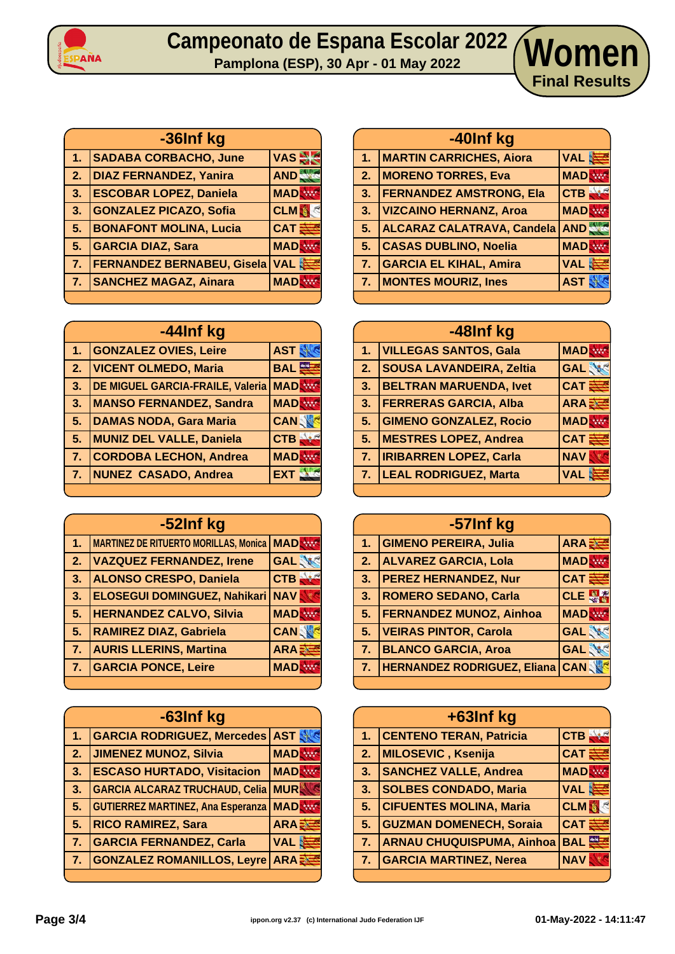

## **Campeonato de Espana Escolar 2022 Pamplona (ESP), 30 Apr - 01 May 2022 Women**

| -36Inf kg      |                                   |            |
|----------------|-----------------------------------|------------|
|                | 1. SADABA CORBACHO, June          | VAS -      |
| 2.             | <b>DIAZ FERNANDEZ, Yanira</b>     | AND        |
| 3.             | <b>ESCOBAR LOPEZ, Daniela</b>     | <b>MAD</b> |
| 3.             | <b>GONZALEZ PICAZO, Sofia</b>     | <b>CLM</b> |
| 5.             | <b>BONAFONT MOLINA, Lucia</b>     | <b>CAT</b> |
| 5.             | <b>GARCIA DIAZ, Sara</b>          | <b>MAD</b> |
| 7 <sub>1</sub> | <b>FERNANDEZ BERNABEU, Gisela</b> | <b>VAL</b> |
| 7.             | <b>SANCHEZ MAGAZ, Ainara</b>      | <b>MAD</b> |
|                |                                   |            |

| -44Inf kg               |                                  |                 |
|-------------------------|----------------------------------|-----------------|
| 1.                      | <b>GONZALEZ OVIES, Leire</b>     | <b>AST</b>      |
| $\overline{\mathbf{2}}$ | <b>VICENT OLMEDO, Maria</b>      | <b>BAL</b>      |
| 3.                      | DE MIGUEL GARCIA-FRAILE, Valeria | <b>MAD</b>      |
| 3.                      | <b>MANSO FERNANDEZ, Sandra</b>   | <b>MAD</b>      |
| 5.                      | <b>DAMAS NODA, Gara Maria</b>    | <b>CANSON</b>   |
| 5.                      | <b>MUNIZ DEL VALLE, Daniela</b>  | CTB,            |
| 7.                      | <b>CORDOBA LECHON, Andrea</b>    | <b>MAD</b>      |
| T                       | <b>NUNEZ CASADO, Andrea</b>      | EX <sub>1</sub> |
|                         |                                  |                 |

| -52Inf kg |                                              |             |
|-----------|----------------------------------------------|-------------|
| 1.        | <b>MARTINEZ DE RITUERTO MORILLAS, Monica</b> | <b>MAD</b>  |
| 2.        | <b>VAZQUEZ FERNANDEZ, Irene</b>              | <b>GAL</b>  |
| 3.        | <b>ALONSO CRESPO, Daniela</b>                | <b>CTB</b>  |
| 3.        | <b>ELOSEGUI DOMINGUEZ, Nahikari</b>          | <b>NAV</b>  |
| 5.        | <b>HERNANDEZ CALVO, Silvia</b>               | <b>MAD</b>  |
| 5.        | <b>RAMIREZ DIAZ, Gabriela</b>                | <b>CANS</b> |
| 7.        | <b>AURIS LLERINS, Martina</b>                | ARA         |
| 7.        | <b>GARCIA PONCE, Leire</b>                   | <b>MAD</b>  |
|           |                                              |             |

| -63Inf kg        |                                          |              |
|------------------|------------------------------------------|--------------|
| 1.               | <b>GARCIA RODRIGUEZ, Mercedes</b>        | <b>AST</b>   |
| 2.               | <b>JIMENEZ MUNOZ, Silvia</b>             | <b>MAD</b>   |
| 3.               | <b>ESCASO HURTADO, Visitacion</b>        | <b>MAD</b>   |
| 3.               | <b>GARCIA ALCARAZ TRUCHAUD, Celia</b>    | <b>MUR</b>   |
| 5.               | <b>GUTIERREZ MARTINEZ, Ana Esperanza</b> | <b>MAD</b>   |
| 5.               | <b>RICO RAMIREZ, Sara</b>                | ARA E        |
| $\overline{7}$ . | <b>GARCIA FERNANDEZ, Carla</b>           | <b>VAL</b>   |
| $\overline{7}$ . | <b>GONZALEZ ROMANILLOS, Leyre</b>        | <b>ARA E</b> |
|                  |                                          |              |

|    | -40Inf kg                         |                  |
|----|-----------------------------------|------------------|
| 1. | <b>MARTIN CARRICHES, Aiora</b>    | VAL &            |
| 2. | <b>MORENO TORRES, Eva</b>         | <b>MAD</b>       |
| 3. | <b>FERNANDEZ AMSTRONG, Ela</b>    | $ {\sf CTB} $    |
| 3. | <b>VIZCAINO HERNANZ, Aroa</b>     | <b>MAD</b>       |
| 5. | <b>ALCARAZ CALATRAVA, Candela</b> | AND <sup>4</sup> |
| 5. | <b>CASAS DUBLINO, Noelia</b>      | <b>MAD</b>       |
| 7. | <b>GARCIA EL KIHAL, Amira</b>     | VAL 造            |
| 7. | <b>MONTES MOURIZ, Ines</b>        | <b>AST</b>       |
|    |                                   |                  |

**Final Results**

| -48Inf kg |                                 |                   |
|-----------|---------------------------------|-------------------|
| 1.        | <b>VILLEGAS SANTOS, Gala</b>    | <b>MADR</b>       |
| 2.        | <b>SOUSA LAVANDEIRA, Zeltia</b> | <b>GAL</b>        |
| 3.        | <b>BELTRAN MARUENDA, Ivet</b>   | $CAT \frac{3}{5}$ |
| 3.        | <b>FERRERAS GARCIA, Alba</b>    | ARA <sub>2</sub>  |
| 5.        | <b>GIMENO GONZALEZ, Rocio</b>   | <b>MADR</b>       |
| 5.        | <b>MESTRES LOPEZ, Andrea</b>    | <b>CAT</b>        |
| 7.        | <b>IRIBARREN LOPEZ, Carla</b>   | <b>NAV</b>        |
| 7.        | <b>LEAL RODRIGUEZ, Marta</b>    | <b>VAL</b>        |
|           |                                 |                   |

| -57Inf kg |                                    |              |
|-----------|------------------------------------|--------------|
| 1.        | <b>GIMENO PEREIRA, Julia</b>       | ARA          |
| 2.        | <b>ALVAREZ GARCIA, Lola</b>        | <b>MAD</b>   |
| 3.        | <b>PEREZ HERNANDEZ, Nur</b>        | $CAT \equiv$ |
| 3.        | <b>ROMERO SEDANO, Carla</b>        | CLE          |
| 5.        | <b>FERNANDEZ MUNOZ, Ainhoa</b>     | <b>MAD</b>   |
| 5.        | <b>VEIRAS PINTOR, Carola</b>       | <b>GAL</b>   |
| 7.        | <b>BLANCO GARCIA, Aroa</b>         | <b>GAL</b>   |
| 7.        | <b>HERNANDEZ RODRIGUEZ, Eliana</b> | <b>CANS</b>  |

| +63Inf kg      |                                  |            |
|----------------|----------------------------------|------------|
| 1 <sub>1</sub> | <b>CENTENO TERAN, Patricia</b>   | <b>CTB</b> |
| 2.             | MILOSEVIC, Ksenija               | <b>CAT</b> |
| 3 <sub>1</sub> | <b>SANCHEZ VALLE, Andrea</b>     | <b>MAD</b> |
| 3.7            | <b>SOLBES CONDADO, Maria</b>     | <b>VAL</b> |
| 5.             | <b>CIFUENTES MOLINA, Maria</b>   | <b>CLM</b> |
| 5.             | <b>GUZMAN DOMENECH, Soraia</b>   | <b>CAT</b> |
| 7.             | <b>ARNAU CHUQUISPUMA, Ainhoa</b> | <b>BAL</b> |
| 7.             | <b>GARCIA MARTINEZ, Nerea</b>    | <b>NAV</b> |